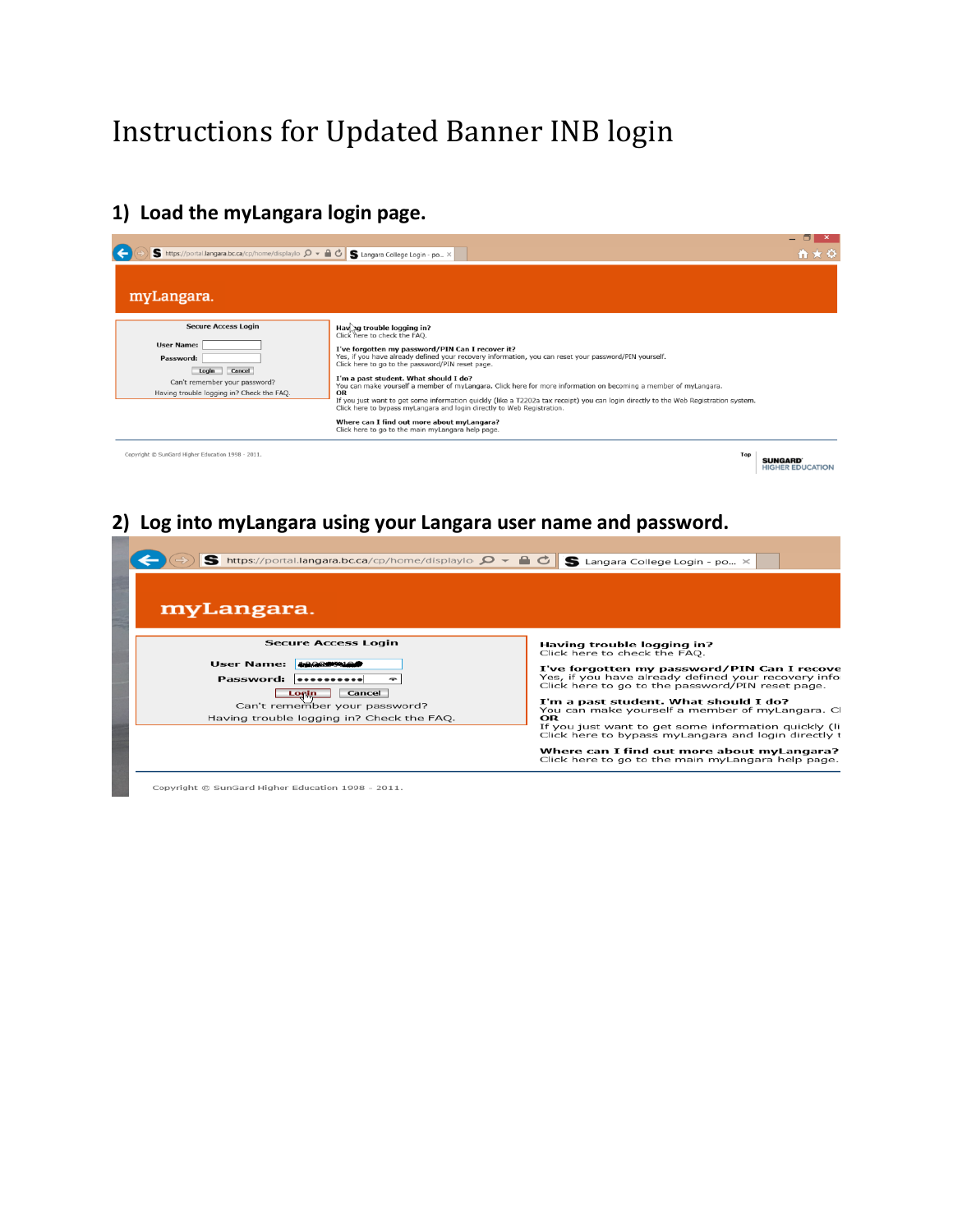# Instructions for Updated Banner INB login

### **1) Load the myLangara login page.**



### **2) Log into myLangara using your Langara user name and password.**

| S https://portal.langara.bc.ca/cp/home/displaylo Q<br>myLangara.                                                                                                 | S Langara College Login - po $\times$                                                                                                                                                                                                                                                                                                                                                                                                                                                                                                     |
|------------------------------------------------------------------------------------------------------------------------------------------------------------------|-------------------------------------------------------------------------------------------------------------------------------------------------------------------------------------------------------------------------------------------------------------------------------------------------------------------------------------------------------------------------------------------------------------------------------------------------------------------------------------------------------------------------------------------|
| <b>Secure Access Login</b><br>User Name: 499899494<br>Password:<br>Cancel<br>Login<br>Can't remember your password?<br>Having trouble logging in? Check the FAO. | Having trouble logging in?<br>Click here to check the FAQ.<br>I've forgotten my password/PIN Can I recove<br>Yes, if you have already defined your recovery infor<br>Click here to go to the password/PIN reset page.<br>I'm a past student. What should I do?<br>You can make yourself a member of myLangara. Cl<br>OR<br>If you just want to get some information quickly (li<br>Click here to bypass myLangara and login directly t<br>Where can I find out more about myLangara?<br>Click here to go to the main myLangara help page. |

Copyright @ SunGard Higher Education 1998 - 2011.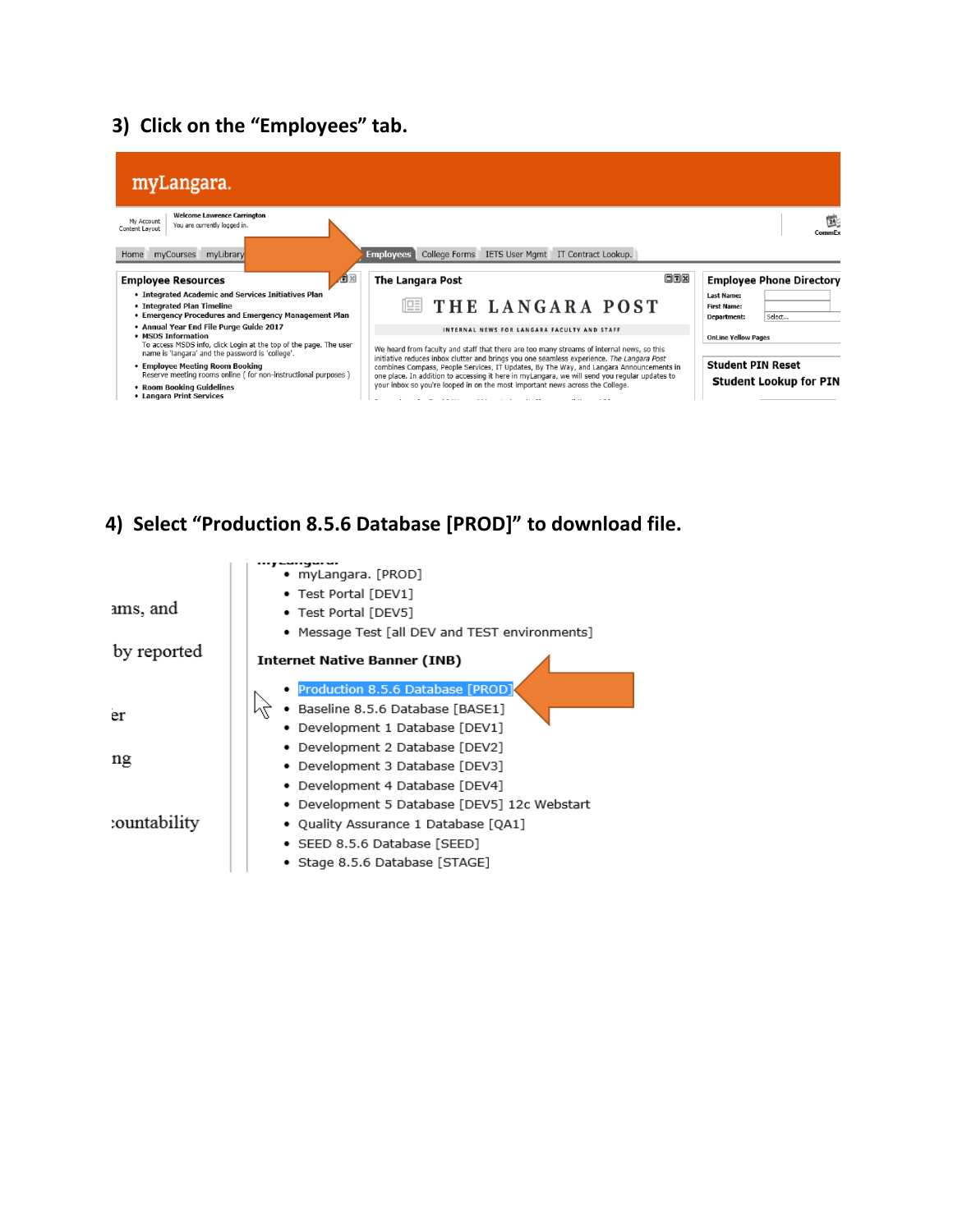# **3) Click on the "Employees" tab.**



# **4) Select "Production 8.5.6 Database [PROD]" to download file.**

| .<br>myLangara. [PROD] |                                                |  |  |
|------------------------|------------------------------------------------|--|--|
|                        | • Test Portal [DEV1]                           |  |  |
| ams, and               | • Test Portal [DEV5]                           |  |  |
|                        | • Message Test [all DEV and TEST environments] |  |  |
| by reported            | <b>Internet Native Banner (INB)</b>            |  |  |
|                        | Production 8.5.6 Database [PROD]               |  |  |
| er                     | Baseline 8.5.6 Database [BASE1]                |  |  |
|                        | Development 1 Database [DEV1]                  |  |  |
|                        | Development 2 Database [DEV2]                  |  |  |
| ng                     | Development 3 Database [DEV3]                  |  |  |
|                        | Development 4 Database [DEV4]                  |  |  |
|                        | Development 5 Database [DEV5] 12c Webstart     |  |  |
| :ountability           | • Quality Assurance 1 Database [QA1]           |  |  |
|                        | • SEED 8.5.6 Database [SEED]                   |  |  |
|                        | Stage 8.5.6 Database [STAGE]                   |  |  |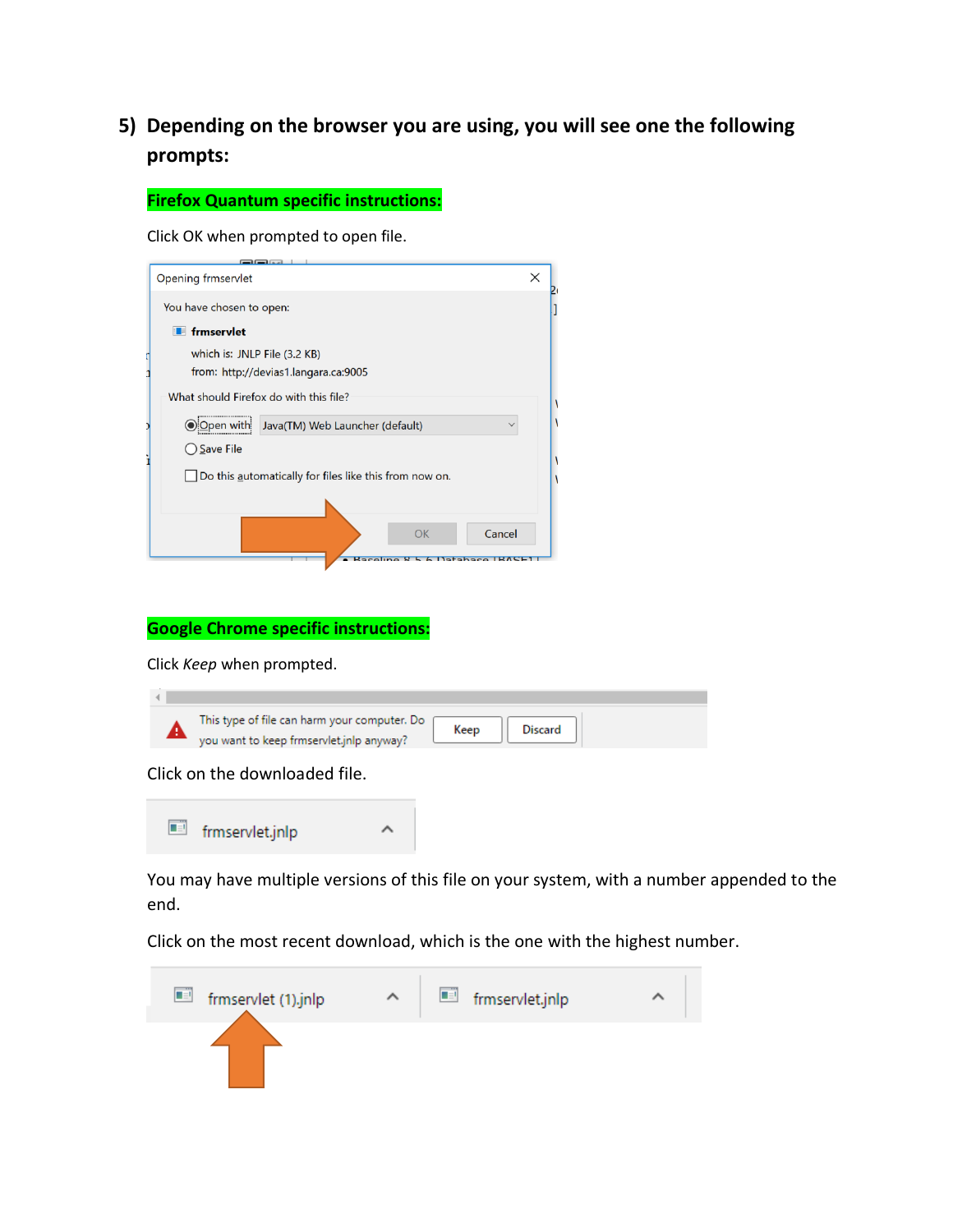# **5) Depending on the browser you are using, you will see one the following prompts:**

**Firefox Quantum specific instructions:**

Click OK when prompted to open file.

| Opening frmservlet                                                    | X |  |
|-----------------------------------------------------------------------|---|--|
| You have chosen to open:                                              |   |  |
| <b>F</b> frmservlet                                                   |   |  |
| which is: JNLP File (3.2 KB)                                          |   |  |
| from: http://devias1.langara.ca:9005                                  |   |  |
| What should Firefox do with this file?                                |   |  |
| Java(TM) Web Launcher (default)<br><u>) Open with</u><br>$\checkmark$ |   |  |
| Save File                                                             |   |  |
| Do this automatically for files like this from now on.                |   |  |
|                                                                       |   |  |
| Cancel<br><b>OK</b>                                                   |   |  |
|                                                                       |   |  |

#### **Google Chrome specific instructions:**

Click *Keep* when prompted.

| This type of file can harm your computer. Do<br>Keep<br><b>Discard</b><br>you want to keep frmservlet.jnlp anyway? |
|--------------------------------------------------------------------------------------------------------------------|
|                                                                                                                    |

Click on the downloaded file.



You may have multiple versions of this file on your system, with a number appended to the end.

Click on the most recent download, which is the one with the highest number.

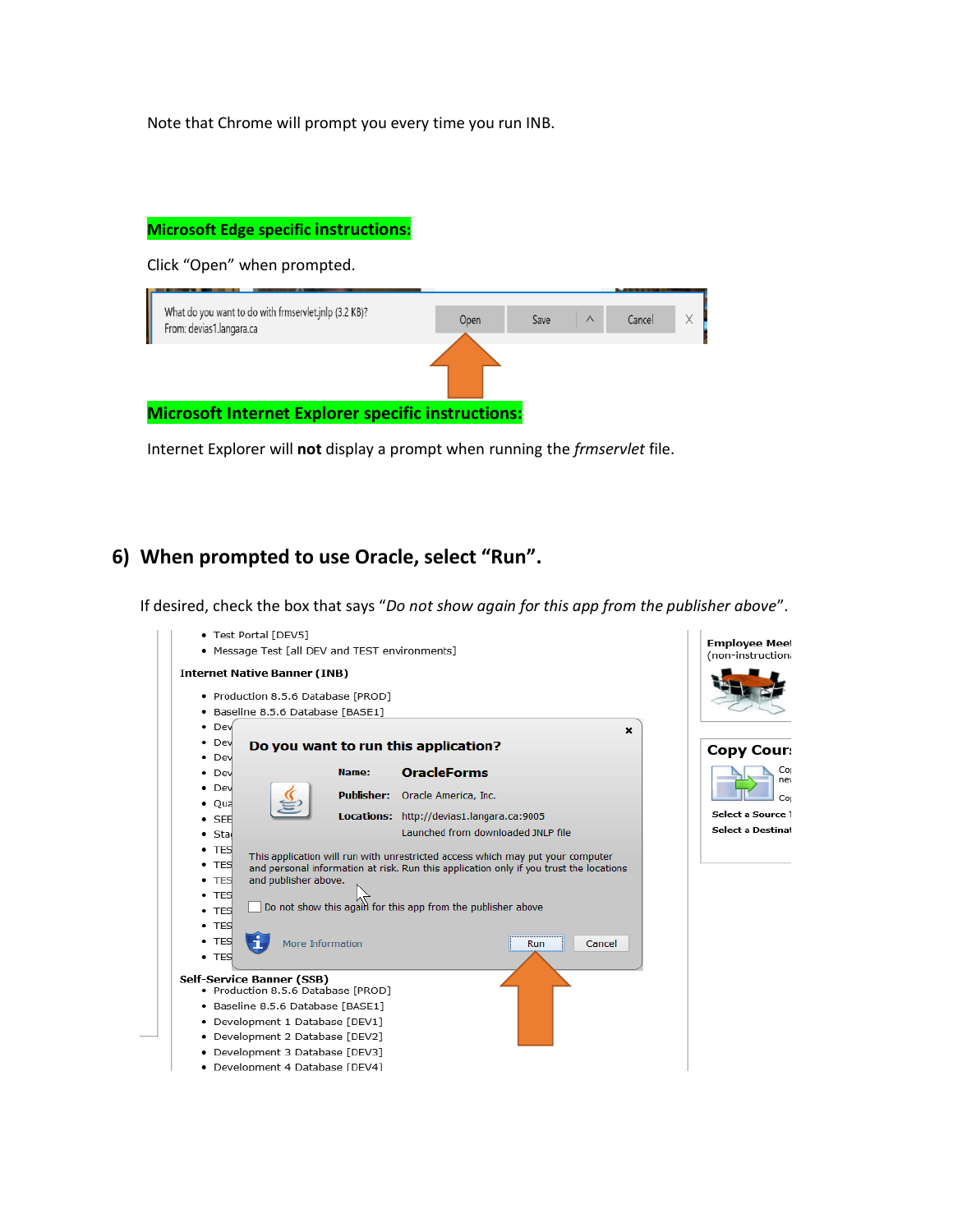Note that Chrome will prompt you every time you run INB.

#### **Microsoft Edge specific instructions:**

Click "Open" when prompted.



Internet Explorer will **not** display a prompt when running the *frmservlet* file.

#### **6) When prompted to use Oracle, select "Run".**

If desired, check the box that says "*Do not show again for this app from the publisher above*".

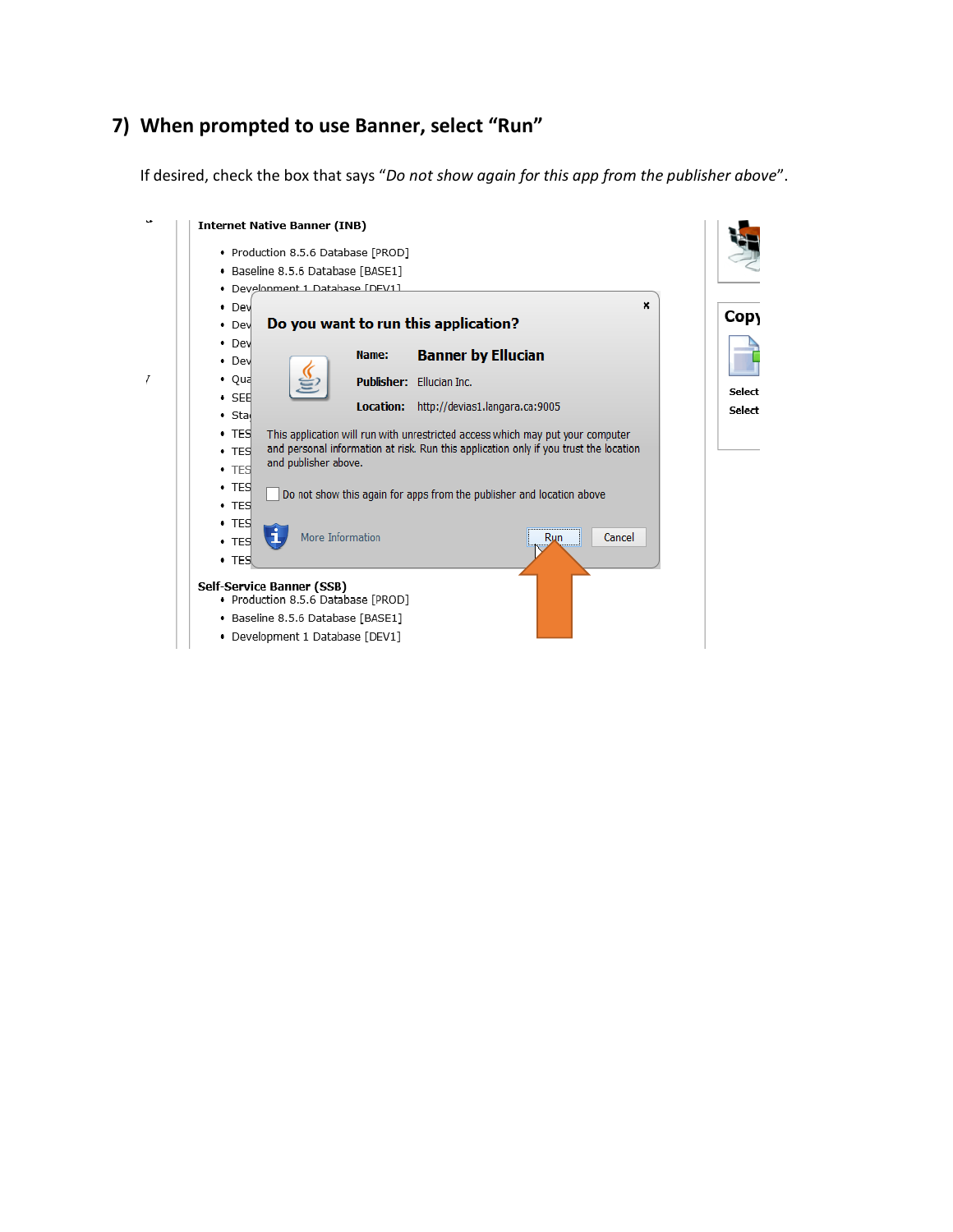## **7) When prompted to use Banner, select "Run"**

If desired, check the box that says "*Do not show again for this app from the publisher above*".